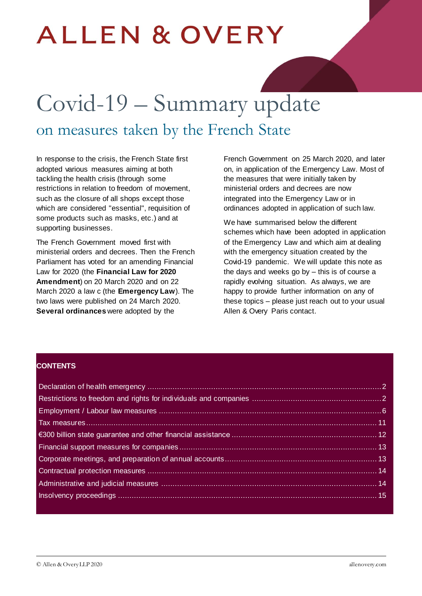# **ALLEN & OVERY**

# Covid-19 – Summary update on measures taken by the French State

In response to the crisis, the French State first adopted various measures aiming at both tackling the health crisis (through some restrictions in relation to freedom of movement, such as the closure of all shops except those which are considered "essential", requisition of some products such as masks, etc.) and at supporting businesses.

The French Government moved first with ministerial orders and decrees. Then the French Parliament has voted for an amending Financial Law for 2020 (the **Financial Law for 2020 Amendment**) on 20 March 2020 and on 22 March 2020 a law c (the **Emergency Law**). The two laws were published on 24 March 2020. **Several ordinances** were adopted by the

French Government on 25 March 2020, and later on, in application of the Emergency Law. Most of the measures that were initially taken by ministerial orders and decrees are now integrated into the Emergency Law or in ordinances adopted in application of such law.

We have summarised below the different schemes which have been adopted in application of the Emergency Law and which aim at dealing with the emergency situation created by the Covid-19 pandemic. We will update this note as the days and weeks go by – this is of course a rapidly evolving situation. As always, we are happy to provide further information on any of these topics – please just reach out to your usual Allen & Overy Paris contact.

#### **CONTENTS**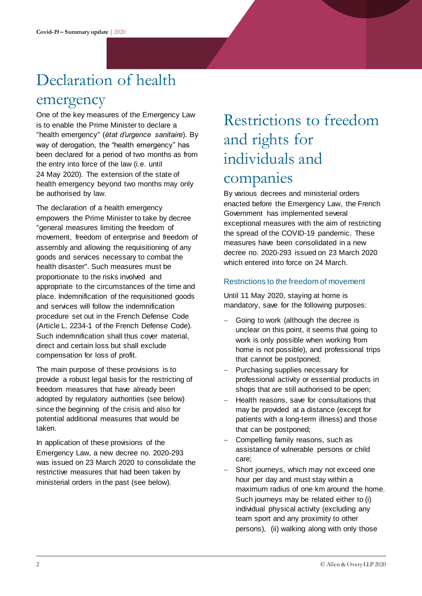## <span id="page-1-0"></span>Declaration of health

### emergency

One of the key measures of the Emergency Law is to enable the Prime Minister to declare a "health emergency" (*état d'urgence sanitaire*). By way of derogation, the "health emergency" has been declared for a period of two months as from the entry into force of the law (i.e. until 24 May 2020). The extension of the state of health emergency beyond two months may only be authorised by law.

The declaration of a health emergency empowers the Prime Minister to take by decree "general measures limiting the freedom of movement, freedom of enterprise and freedom of assembly and allowing the requisitioning of any goods and services necessary to combat the health disaster". Such measures must be proportionate to the risks involved and appropriate to the circumstances of the time and place. Indemnification of the requisitioned goods and services will follow the indemnification procedure set out in the French Defense Code (Article L. 2234-1 of the French Defense Code). Such indemnification shall thus cover material, direct and certain loss but shall exclude compensation for loss of profit.

The main purpose of these provisions is to provide a robust legal basis for the restricting of freedom measures that have already been adopted by regulatory authorities (see below) since the beginning of the crisis and also for potential additional measures that would be taken.

In application of these provisions of the Emergency Law, a new decree no. 2020-293 was issued on 23 March 2020 to consolidate the restrictive measures that had been taken by ministerial orders in the past (see below).

### <span id="page-1-1"></span>Restrictions to freedom and rights for individuals and companies

By various decrees and ministerial orders enacted before the Emergency Law, the French Government has implemented several exceptional measures with the aim of restricting the spread of the COVID-19 pandemic. These measures have been consolidated in a new decree no. 2020-293 issued on 23 March 2020 which entered into force on 24 March.

#### Restrictions to the freedom of movement

Until 11 May 2020, staying at home is mandatory, save for the following purposes:

- Going to work (although the decree is unclear on this point, it seems that going to work is only possible when working from home is not possible), and professional trips that cannot be postponed;
- Purchasing supplies necessary for professional activity or essential products in shops that are still authorised to be open;
- Health reasons, save for consultations that may be provided at a distance (except for patients with a long-term illness) and those that can be postponed;
- Compelling family reasons, such as assistance of vulnerable persons or child care;
- Short journeys, which may not exceed one hour per day and must stay within a maximum radius of one km around the home. Such journeys may be related either to (i) individual physical activity (excluding any team sport and any proximity to other persons), (ii) walking along with only those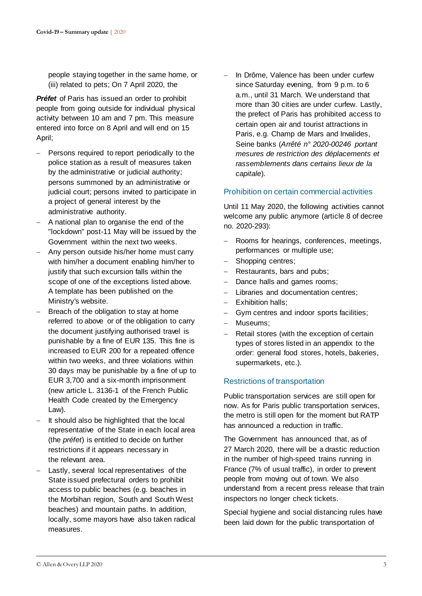people staying together in the same home, or (iii) related to pets; On 7 April 2020, the

*Préfet* of Paris has issued an order to prohibit people from going outside for individual physical activity between 10 am and 7 pm. This measure entered into force on 8 April and will end on 15 April;

- Persons required to report periodically to the police station as a result of measures taken by the administrative or judicial authority; persons summoned by an administrative or judicial court; persons invited to participate in a project of general interest by the administrative authority.
- A national plan to organise the end of the "lockdown" post-11 May will be issued by the Government within the next two weeks.
- Any person outside his/her home must carry with him/her a document enabling him/her to justify that such excursion falls within the scope of one of the exceptions listed above. A template has been published on the Ministry's website.
- Breach of the obligation to stay at home referred to above or of the obligation to carry the document justifying authorised travel is punishable by a fine of EUR 135. This fine is increased to EUR 200 for a repeated offence within two weeks, and three violations within 30 days may be punishable by a fine of up to EUR 3,700 and a six-month imprisonment (new article L. 3136-1 of the French Public Health Code created by the Emergency Law).
- It should also be highlighted that the local representative of the State in each local area (the *préfet*) is entitled to decide on further restrictions if it appears necessary in the relevant area.
- Lastly, several local representatives of the State issued prefectural orders to prohibit access to public beaches (e.g. beaches in the Morbihan region, South and South West beaches) and mountain paths. In addition, locally, some mayors have also taken radical measures.

 In Drôme, Valence has been under curfew since Saturday evening, from 9 p.m. to 6 a.m., until 31 March. We understand that more than 30 cities are under curfew. Lastly, the prefect of Paris has prohibited access to certain open air and tourist attractions in Paris, e.g. Champ de Mars and Invalides, Seine banks (*Arrêté n° 2020-00246 portant mesures de restriction des déplacements et rassemblements dans certains lieux de la capitale*).

#### Prohibition on certain commercial activities

Until 11 May 2020, the following activities cannot welcome any public anymore (article 8 of decree no. 2020-293):

- Rooms for hearings, conferences, meetings, performances or multiple use;
- Shopping centres;
- Restaurants, bars and pubs;
- Dance halls and games rooms;
- Libraries and documentation centres;
- Exhibition halls:
- Gym centres and indoor sports facilities;
- Museums:
- Retail stores (with the exception of certain types of stores listed in an appendix to the order: general food stores, hotels, bakeries, supermarkets, etc.).

#### Restrictions of transportation

Public transportation services are still open for now. As for Paris public transportation services, the metro is still open for the moment but RATP has announced a reduction in traffic.

The Government has announced that, as of 27 March 2020, there will be a drastic reduction in the number of high-speed trains running in France (7% of usual traffic), in order to prevent people from moving out of town. We also understand from a recent press release that train inspectors no longer check tickets.

Special hygiene and social distancing rules have been laid down for the public transportation of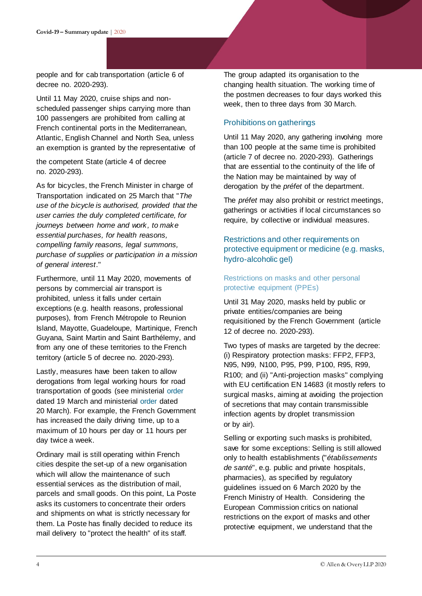people and for cab transportation (article 6 of decree no. 2020-293).

Until 11 May 2020, cruise ships and nonscheduled passenger ships carrying more than 100 passengers are prohibited from calling at French continental ports in the Mediterranean, Atlantic, English Channel and North Sea, unless an exemption is granted by the representative of

the competent State (article 4 of decree no. 2020-293).

As for bicycles, the French Minister in charge of Transportation indicated on 25 March that "*The use of the bicycle is authorised, provided that the user carries the duly completed certificate, for journeys between home and work, to make essential purchases, for health reasons, compelling family reasons, legal summons, purchase of supplies or participation in a mission of general interest*."

Furthermore, until 11 May 2020, movements of persons by commercial air transport is prohibited, unless it falls under certain exceptions (e.g. health reasons, professional purposes), from French Métropole to Reunion Island, Mayotte, Guadeloupe, Martinique, French Guyana, Saint Martin and Saint Barthélemy, and from any one of these territories to the French territory (article 5 of decree no. 2020-293).

Lastly, measures have been taken to allow derogations from legal working hours for road transportation of goods (see ministerial [order](https://www.legifrance.gouv.fr/affichTexte.do?cidTexte=JORFTEXT000041741010&fastPos=7&fastReqId=1367684007&categorieLien=id&oldAction=rechTexte) dated 19 March and ministerial [order](https://www.legifrance.gouv.fr/affichTexte.do?cidTexte=JORFTEXT000041741033&fastPos=7&fastReqId=1426281400&categorieLien=id&oldAction=rechTexte) dated 20 March). For example, the French Government has increased the daily driving time, up to a maximum of 10 hours per day or 11 hours per day twice a week.

Ordinary mail is still operating within French cities despite the set-up of a new organisation which will allow the maintenance of such essential services as the distribution of mail, parcels and small goods. On this point, La Poste asks its customers to concentrate their orders and shipments on what is strictly necessary for them. La Poste has finally decided to reduce its mail delivery to "protect the health" of its staff.

The group adapted its organisation to the changing health situation. The working time of the postmen decreases to four days worked this week, then to three days from 30 March.

#### Prohibitions on gatherings

Until 11 May 2020, any gathering involving more than 100 people at the same time is prohibited (article 7 of decree no. 2020-293). Gatherings that are essential to the continuity of the life of the Nation may be maintained by way of derogation by the *préfet* of the department.

The *préfet* may also prohibit or restrict meetings, gatherings or activities if local circumstances so require, by collective or individual measures.

#### Restrictions and other requirements on protective equipment or medicine (e.g. masks, hydro-alcoholic gel)

#### Restrictions on masks and other personal protective equipment (PPEs)

Until 31 May 2020, masks held by public or private entities/companies are being requisitioned by the French Government (article 12 of decree no. 2020-293).

Two types of masks are targeted by the decree: (i) Respiratory protection masks: FFP2, FFP3, N95, N99, N100, P95, P99, P100, R95, R99, R100; and (ii) "Anti-projection masks" complying with EU certification EN 14683 (it mostly refers to surgical masks, aiming at avoiding the projection of secretions that may contain transmissible infection agents by droplet transmission or by air).

Selling or exporting such masks is prohibited, save for some exceptions: Selling is still allowed only to health establishments ("*établissements de santé*", e.g. public and private hospitals, pharmacies), as specified by regulatory guidelines issued on 6 March 2020 by the French Ministry of Health. Considering the European Commission critics on national restrictions on the export of masks and other protective equipment, we understand that the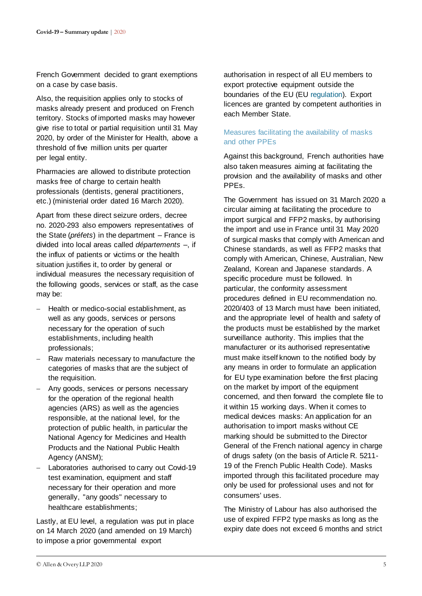French Government decided to grant exemptions on a case by case basis.

Also, the requisition applies only to stocks of masks already present and produced on French territory. Stocks of imported masks may however give rise to total or partial requisition until 31 May 2020, by order of the Minister for Health, above a threshold of five million units per quarter per legal entity.

Pharmacies are allowed to distribute protection masks free of charge to certain health professionals (dentists, general practitioners, etc.) (ministerial order dated 16 March 2020).

Apart from these direct seizure orders, decree no. 2020-293 also empowers representatives of the State (*préfets*) in the department – France is divided into local areas called *départements* –, if the influx of patients or victims or the health situation justifies it, to order by general or individual measures the necessary requisition of the following goods, services or staff, as the case may be:

- Health or medico-social establishment, as well as any goods, services or persons necessary for the operation of such establishments, including health professionals;
- Raw materials necessary to manufacture the categories of masks that are the subject of the requisition.
- Any goods, services or persons necessary for the operation of the regional health agencies (ARS) as well as the agencies responsible, at the national level, for the protection of public health, in particular the National Agency for Medicines and Health Products and the National Public Health Agency (ANSM);
- Laboratories authorised to carry out Covid-19 test examination, equipment and staff necessary for their operation and more generally, "any goods" necessary to healthcare establishments;

Lastly, at EU level, a regulation was put in place on 14 March 2020 (and amended on 19 March) to impose a prior governmental export

authorisation in respect of all EU members to export protective equipment outside the boundaries of the EU (EU [regulation\)](https://eur-lex.europa.eu/legal-content/EN/TXT/PDF/?uri=CELEX:32020R0402&from=EN). Export licences are granted by competent authorities in each Member State.

#### Measures facilitating the availability of masks and other PPEs

Against this background, French authorities have also taken measures aiming at facilitating the provision and the availability of masks and other PPEs.

The Government has issued on 31 March 2020 a circular aiming at facilitating the procedure to import surgical and FFP2 masks, by authorising the import and use in France until 31 May 2020 of surgical masks that comply with American and Chinese standards, as well as FFP2 masks that comply with American, Chinese, Australian, New Zealand, Korean and Japanese standards. A specific procedure must be followed. In particular, the conformity assessment procedures defined in EU recommendation no. 2020/403 of 13 March must have been initiated, and the appropriate level of health and safety of the products must be established by the market surveillance authority. This implies that the manufacturer or its authorised representative must make itself known to the notified body by any means in order to formulate an application for EU type examination before the first placing on the market by import of the equipment concerned, and then forward the complete file to it within 15 working days. When it comes to medical devices masks: An application for an authorisation to import masks without CE marking should be submitted to the Director General of the French national agency in charge of drugs safety (on the basis of Article R. 5211- 19 of the French Public Health Code). Masks imported through this facilitated procedure may only be used for professional uses and not for consumers' uses.

The Ministry of Labour has also authorised the use of expired FFP2 type masks as long as the expiry date does not exceed 6 months and strict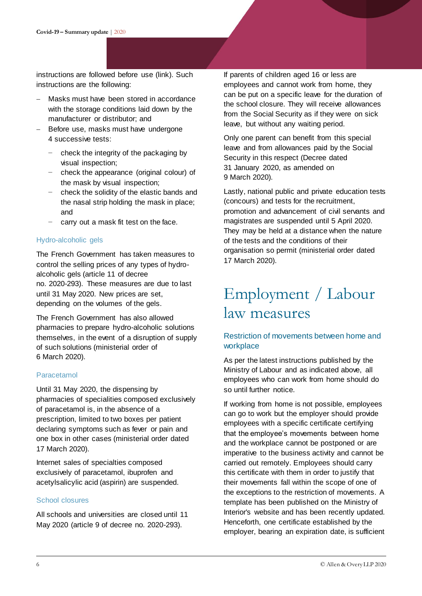instructions are followed before use (link). Such instructions are the following:

- Masks must have been stored in accordance with the storage conditions laid down by the manufacturer or distributor; and
- Before use, masks must have undergone 4 successive tests:
	- check the integrity of the packaging by visual inspection;
	- − check the appearance (original colour) of the mask by visual inspection;
	- − check the solidity of the elastic bands and the nasal strip holding the mask in place; and
	- carry out a mask fit test on the face.

#### Hydro-alcoholic gels

The French Government has taken measures to control the selling prices of any types of hydroalcoholic gels (article 11 of decree no. 2020-293). These measures are due to last until 31 May 2020. New prices are set, depending on the volumes of the gels.

The French Government has also allowed pharmacies to prepare hydro-alcoholic solutions themselves, in the event of a disruption of supply of such solutions (ministerial order of 6 March 2020).

#### Paracetamol

Until 31 May 2020, the dispensing by pharmacies of specialities composed exclusively of paracetamol is, in the absence of a prescription, limited to two boxes per patient declaring symptoms such as fever or pain and one box in other cases (ministerial order dated 17 March 2020).

Internet sales of specialties composed exclusively of paracetamol, ibuprofen and acetylsalicylic acid (aspirin) are suspended.

#### School closures

All schools and universities are closed until 11 May 2020 (article 9 of decree no. 2020-293).

If parents of children aged 16 or less are employees and cannot work from home, they can be put on a specific leave for the duration of the school closure. They will receive allowances from the Social Security as if they were on sick leave, but without any waiting period.

Only one parent can benefit from this special leave and from allowances paid by the Social Security in this respect (Decree dated 31 January 2020, as amended on 9 March 2020).

Lastly, national public and private education tests (concours) and tests for the recruitment, promotion and advancement of civil servants and magistrates are suspended until 5 April 2020. They may be held at a distance when the nature of the tests and the conditions of their organisation so permit (ministerial order dated 17 March 2020).

### <span id="page-5-0"></span>Employment / Labour law measures

#### Restriction of movements between home and workplace

As per the latest instructions published by the Ministry of Labour and as indicated above, all employees who can work from home should do so until further notice.

If working from home is not possible, employees can go to work but the employer should provide employees with a specific certificate certifying that the employee's movements between home and the workplace cannot be postponed or are imperative to the business activity and cannot be carried out remotely. Employees should carry this certificate with them in order to justify that their movements fall within the scope of one of the exceptions to the restriction of movements. A template has been published on the Ministry of Interior's website and has been recently updated. Henceforth, one certificate established by the employer, bearing an expiration date, is sufficient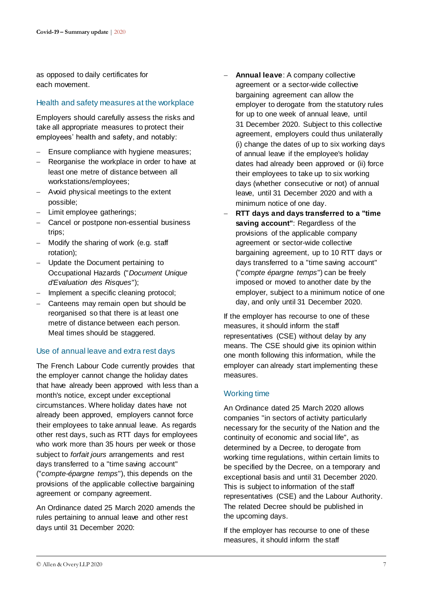as opposed to daily certificates for each movement.

#### Health and safety measures at the workplace

Employers should carefully assess the risks and take all appropriate measures to protect their employees' health and safety, and notably:

- Ensure compliance with hygiene measures;
- Reorganise the workplace in order to have at least one metre of distance between all workstations/employees;
- Avoid physical meetings to the extent possible;
- Limit employee gatherings;
- Cancel or postpone non-essential business trips;
- Modify the sharing of work (e.g. staff rotation);
- Update the Document pertaining to Occupational Hazards ("*Document Unique d'Evaluation des Risques*");
- Implement a specific cleaning protocol;
- Canteens may remain open but should be reorganised so that there is at least one metre of distance between each person. Meal times should be staggered.

#### Use of annual leave and extra rest days

The French Labour Code currently provides that the employer cannot change the holiday dates that have already been approved with less than a month's notice, except under exceptional circumstances. Where holiday dates have not already been approved, employers cannot force their employees to take annual leave. As regards other rest days, such as RTT days for employees who work more than 35 hours per week or those subject to *forfait jours* arrangements and rest days transferred to a "time saving account" ("*compte-épargne temps*"), this depends on the provisions of the applicable collective bargaining agreement or company agreement.

An Ordinance dated 25 March 2020 amends the rules pertaining to annual leave and other rest days until 31 December 2020:

- **Annual leave**: A company collective agreement or a sector-wide collective bargaining agreement can allow the employer to derogate from the statutory rules for up to one week of annual leave, until 31 December 2020. Subject to this collective agreement, employers could thus unilaterally (i) change the dates of up to six working days of annual leave if the employee's holiday dates had already been approved or (ii) force their employees to take up to six working days (whether consecutive or not) of annual leave, until 31 December 2020 and with a minimum notice of one day.
- **RTT days and days transferred to a "time saving account"**: Regardless of the provisions of the applicable company agreement or sector-wide collective bargaining agreement, up to 10 RTT days or days transferred to a "time saving account" ("*compte épargne temps*") can be freely imposed or moved to another date by the employer, subject to a minimum notice of one day, and only until 31 December 2020.

If the employer has recourse to one of these measures, it should inform the staff representatives (CSE) without delay by any means. The CSE should give its opinion within one month following this information, while the employer can already start implementing these measures.

#### Working time

An Ordinance dated 25 March 2020 allows companies "in sectors of activity particularly necessary for the security of the Nation and the continuity of economic and social life", as determined by a Decree, to derogate from working time regulations, within certain limits to be specified by the Decree, on a temporary and exceptional basis and until 31 December 2020. This is subject to information of the staff representatives (CSE) and the Labour Authority. The related Decree should be published in the upcoming days.

If the employer has recourse to one of these measures, it should inform the staff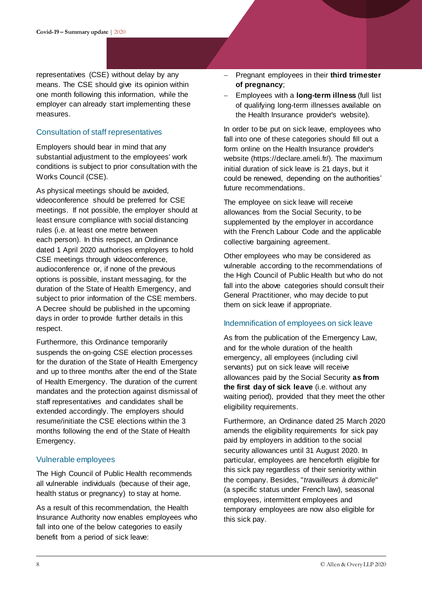representatives (CSE) without delay by any means. The CSE should give its opinion within one month following this information, while the employer can already start implementing these measures.

#### Consultation of staff representatives

Employers should bear in mind that any substantial adjustment to the employees' work conditions is subject to prior consultation with the Works Council (CSE).

As physical meetings should be avoided, videoconference should be preferred for CSE meetings. If not possible, the employer should at least ensure compliance with social distancing rules (i.e. at least one metre between each person). In this respect, an Ordinance dated 1 April 2020 authorises employers to hold CSE meetings through videoconference, audioconference or, if none of the previous options is possible, instant messaging, for the duration of the State of Health Emergency, and subject to prior information of the CSE members. A Decree should be published in the upcoming days in order to provide further details in this respect.

Furthermore, this Ordinance temporarily suspends the on-going CSE election processes for the duration of the State of Health Emergency and up to three months after the end of the State of Health Emergency. The duration of the current mandates and the protection against dismissal of staff representatives and candidates shall be extended accordingly. The employers should resume/initiate the CSE elections within the 3 months following the end of the State of Health Emergency.

#### Vulnerable employees

The High Council of Public Health recommends all vulnerable individuals (because of their age, health status or pregnancy) to stay at home.

As a result of this recommendation, the Health Insurance Authority now enables employees who fall into one of the below categories to easily benefit from a period of sick leave:

- Pregnant employees in their **third trimester of pregnancy**;
- Employees with a **long-term illness** (full list of qualifying long-term illnesses available on the Health Insurance provider's website).

In order to be put on sick leave, employees who fall into one of these categories should fill out a form online on the Health Insurance provider's website (https://declare.ameli.fr/). The maximum initial duration of sick leave is 21 days, but it could be renewed, depending on the authorities' future recommendations.

The employee on sick leave will receive allowances from the Social Security, to be supplemented by the employer in accordance with the French Labour Code and the applicable collective bargaining agreement.

Other employees who may be considered as vulnerable according to the recommendations of the High Council of Public Health but who do not fall into the above categories should consult their General Practitioner, who may decide to put them on sick leave if appropriate.

#### Indemnification of employees on sick leave

As from the publication of the Emergency Law, and for the whole duration of the health emergency, all employees (including civil servants) put on sick leave will receive allowances paid by the Social Security **as from the first day of sick leave** (i.e. without any waiting period), provided that they meet the other eligibility requirements.

Furthermore, an Ordinance dated 25 March 2020 amends the eligibility requirements for sick pay paid by employers in addition to the social security allowances until 31 August 2020. In particular, employees are henceforth eligible for this sick pay regardless of their seniority within the company. Besides, "*travailleurs à domicile*" (a specific status under French law), seasonal employees, intermittent employees and temporary employees are now also eligible for this sick pay.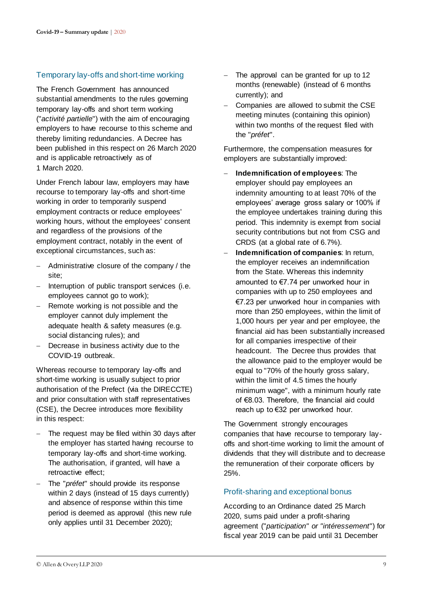#### Temporary lay-offs and short-time working

The French Government has announced substantial amendments to the rules governing temporary lay-offs and short term working ("*activité partielle*") with the aim of encouraging employers to have recourse to this scheme and thereby limiting redundancies. A Decree has been published in this respect on 26 March 2020 and is applicable retroactively as of 1 March 2020.

Under French labour law, employers may have recourse to temporary lay-offs and short-time working in order to temporarily suspend employment contracts or reduce employees' working hours, without the employees' consent and regardless of the provisions of the employment contract, notably in the event of exceptional circumstances, such as:

- Administrative closure of the company / the site;
- Interruption of public transport services (i.e. employees cannot go to work);
- Remote working is not possible and the employer cannot duly implement the adequate health & safety measures (e.g. social distancing rules); and
- Decrease in business activity due to the COVID-19 outbreak.

Whereas recourse to temporary lay-offs and short-time working is usually subject to prior authorisation of the Prefect (via the DIRECCTE) and prior consultation with staff representatives (CSE), the Decree introduces more flexibility in this respect:

- The request may be filed within 30 days after the employer has started having recourse to temporary lay-offs and short-time working. The authorisation, if granted, will have a retroactive effect;
- The "*préfet*" should provide its response within 2 days (instead of 15 days currently) and absence of response within this time period is deemed as approval (this new rule only applies until 31 December 2020);
- $-$  The approval can be granted for up to 12 months (renewable) (instead of 6 months currently); and
- Companies are allowed to submit the CSE meeting minutes (containing this opinion) within two months of the request filed with the "*préfet*".

Furthermore, the compensation measures for employers are substantially improved:

- **Indemnification of employees**: The employer should pay employees an indemnity amounting to at least 70% of the employees' average gross salary or 100% if the employee undertakes training during this period. This indemnity is exempt from social security contributions but not from CSG and CRDS (at a global rate of 6.7%).
- **Indemnification of companies**: In return, the employer receives an indemnification from the State. Whereas this indemnity amounted to €7.74 per unworked hour in companies with up to 250 employees and €7.23 per unworked hour in companies with more than 250 employees, within the limit of 1,000 hours per year and per employee, the financial aid has been substantially increased for all companies irrespective of their headcount. The Decree thus provides that the allowance paid to the employer would be equal to "70% of the hourly gross salary, within the limit of 4.5 times the hourly minimum wage", with a minimum hourly rate of €8.03. Therefore, the financial aid could reach up to €32 per unworked hour.

The Government strongly encourages companies that have recourse to temporary layoffs and short-time working to limit the amount of dividends that they will distribute and to decrease the remuneration of their corporate officers by 25%.

#### Profit-sharing and exceptional bonus

According to an Ordinance dated 25 March 2020, sums paid under a profit-sharing agreement ("*participation" or "intéressement*") for fiscal year 2019 can be paid until 31 December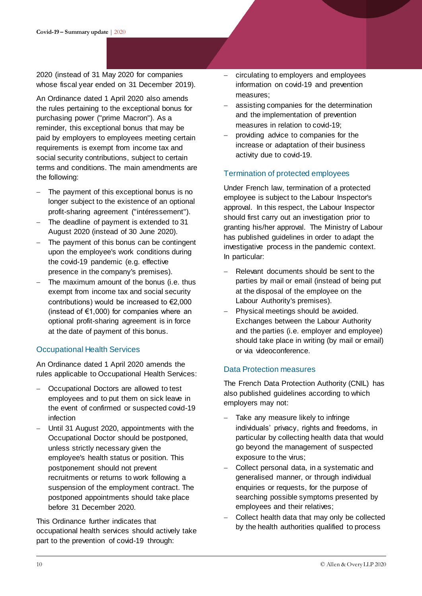2020 (instead of 31 May 2020 for companies whose fiscal year ended on 31 December 2019).

An Ordinance dated 1 April 2020 also amends the rules pertaining to the exceptional bonus for purchasing power ("prime Macron"). As a reminder, this exceptional bonus that may be paid by employers to employees meeting certain requirements is exempt from income tax and social security contributions, subject to certain terms and conditions. The main amendments are the following:

- The payment of this exceptional bonus is no longer subject to the existence of an optional profit-sharing agreement ("intéressement").
- The deadline of payment is extended to 31 August 2020 (instead of 30 June 2020).
- $-$  The payment of this bonus can be contingent upon the employee's work conditions during the covid-19 pandemic (e.g. effective presence in the company's premises).
- The maximum amount of the bonus (i.e. thus exempt from income tax and social security contributions) would be increased to €2,000 (instead of  $\epsilon$ 1,000) for companies where an optional profit-sharing agreement is in force at the date of payment of this bonus.

#### Occupational Health Services

An Ordinance dated 1 April 2020 amends the rules applicable to Occupational Health Services:

- Occupational Doctors are allowed to test employees and to put them on sick leave in the event of confirmed or suspected covid-19 infection
- Until 31 August 2020, appointments with the Occupational Doctor should be postponed, unless strictly necessary given the employee's health status or position. This postponement should not prevent recruitments or returns to work following a suspension of the employment contract. The postponed appointments should take place before 31 December 2020.

This Ordinance further indicates that occupational health services should actively take part to the prevention of covid-19 through:

- circulating to employers and employees information on covid-19 and prevention measures;
- assisting companies for the determination and the implementation of prevention measures in relation to covid-19;
- providing advice to companies for the increase or adaptation of their business activity due to covid-19.

#### Termination of protected employees

Under French law, termination of a protected employee is subject to the Labour Inspector's approval. In this respect, the Labour Inspector should first carry out an investigation prior to granting his/her approval. The Ministry of Labour has published guidelines in order to adapt the investigative process in the pandemic context. In particular:

- Relevant documents should be sent to the parties by mail or email (instead of being put at the disposal of the employee on the Labour Authority's premises).
- Physical meetings should be avoided. Exchanges between the Labour Authority and the parties (i.e. employer and employee) should take place in writing (by mail or email) or via videoconference.

#### Data Protection measures

The French Data Protection Authority (CNIL) has also published guidelines according to which employers may not:

- Take any measure likely to infringe individuals' privacy, rights and freedoms, in particular by collecting health data that would go beyond the management of suspected exposure to the virus;
- Collect personal data, in a systematic and generalised manner, or through individual enquiries or requests, for the purpose of searching possible symptoms presented by employees and their relatives;
- Collect health data that may only be collected by the health authorities qualified to process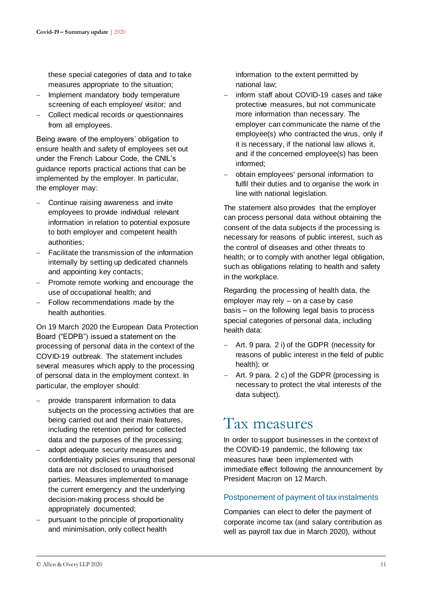these special categories of data and to take measures appropriate to the situation;

- Implement mandatory body temperature screening of each employee/ visitor; and
- Collect medical records or questionnaires from all employees.

Being aware of the employers' obligation to ensure health and safety of employees set out under the French Labour Code, the CNIL's guidance reports practical actions that can be implemented by the employer. In particular, the employer may:

- Continue raising awareness and invite employees to provide individual relevant information in relation to potential exposure to both employer and competent health authorities;
- Facilitate the transmission of the information internally by setting up dedicated channels and appointing key contacts;
- Promote remote working and encourage the use of occupational health; and
- Follow recommendations made by the health authorities.

On 19 March 2020 the European Data Protection Board ("EDPB") issued a statement on the processing of personal data in the context of the COVID-19 outbreak. The statement includes several measures which apply to the processing of personal data in the employment context. In particular, the employer should:

- provide transparent information to data subjects on the processing activities that are being carried out and their main features, including the retention period for collected data and the purposes of the processing;
- adopt adequate security measures and confidentiality policies ensuring that personal data are not disclosed to unauthorised parties. Measures implemented to manage the current emergency and the underlying decision-making process should be appropriately documented;
- pursuant to the principle of proportionality and minimisation, only collect health

information to the extent permitted by national law;

- inform staff about COVID-19 cases and take protective measures, but not communicate more information than necessary. The employer can communicate the name of the employee(s) who contracted the virus, only if it is necessary, if the national law allows it, and if the concerned employee(s) has been informed;
- obtain employees' personal information to fulfil their duties and to organise the work in line with national legislation.

The statement also provides that the employer can process personal data without obtaining the consent of the data subjects if the processing is necessary for reasons of public interest, such as the control of diseases and other threats to health; or to comply with another legal obligation, such as obligations relating to health and safety in the workplace.

Regarding the processing of health data, the employer may rely – on a case by case basis – on the following legal basis to process special categories of personal data, including health data:

- Art. 9 para. 2 i) of the GDPR (necessity for reasons of public interest in the field of public health); or
- $-$  Art. 9 para. 2 c) of the GDPR (processing is necessary to protect the vital interests of the data subject).

### <span id="page-10-0"></span>Tax measures

In order to support businesses in the context of the COVID-19 pandemic, the following tax measures have been implemented with immediate effect following the announcement by President Macron on 12 March.

#### Postponement of payment of tax instalments

Companies can elect to defer the payment of corporate income tax (and salary contribution as well as payroll tax due in March 2020), without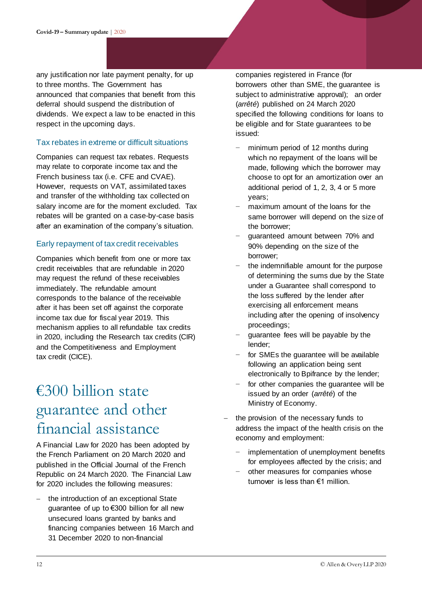any justification nor late payment penalty, for up to three months. The Government has announced that companies that benefit from this deferral should suspend the distribution of dividends. We expect a law to be enacted in this respect in the upcoming days.

#### Tax rebates in extreme or difficult situations

Companies can request tax rebates. Requests may relate to corporate income tax and the French business tax (i.e. CFE and CVAE). However, requests on VAT, assimilated taxes and transfer of the withholding tax collected on salary income are for the moment excluded. Tax rebates will be granted on a case-by-case basis after an examination of the company's situation.

#### Early repayment of tax credit receivables

Companies which benefit from one or more tax credit receivables that are refundable in 2020 may request the refund of these receivables immediately. The refundable amount corresponds to the balance of the receivable after it has been set off against the corporate income tax due for fiscal year 2019. This mechanism applies to all refundable tax credits in 2020, including the Research tax credits (CIR) and the Competitiveness and Employment tax credit (CICE).

### <span id="page-11-0"></span>€300 billion state guarantee and other financial assistance

A Financial Law for 2020 has been adopted by the French Parliament on 20 March 2020 and published in the Official Journal of the French Republic on 24 March 2020. The Financial Law for 2020 includes the following measures:

- the introduction of an exceptional State guarantee of up to €300 billion for all new unsecured loans granted by banks and financing companies between 16 March and 31 December 2020 to non-financial

companies registered in France (for borrowers other than SME, the guarantee is subject to administrative approval); an order (*arrêté*) published on 24 March 2020 specified the following conditions for loans to be eligible and for State guarantees to be issued:

- minimum period of 12 months during which no repayment of the loans will be made, following which the borrower may choose to opt for an amortization over an additional period of 1, 2, 3, 4 or 5 more years;
- maximum amount of the loans for the same borrower will depend on the size of the borrower;
- − guaranteed amount between 70% and 90% depending on the size of the borrower;
- the indemnifiable amount for the purpose of determining the sums due by the State under a Guarantee shall correspond to the loss suffered by the lender after exercising all enforcement means including after the opening of insolvency proceedings;
- − guarantee fees will be payable by the lender;
- for SMEs the quarantee will be available following an application being sent electronically to Bpifrance by the lender;
- for other companies the guarantee will be issued by an order (*arrêté*) of the Ministry of Economy.
- the provision of the necessary funds to address the impact of the health crisis on the economy and employment:
	- implementation of unemployment benefits for employees affected by the crisis; and
	- other measures for companies whose turnover is less than €1 million.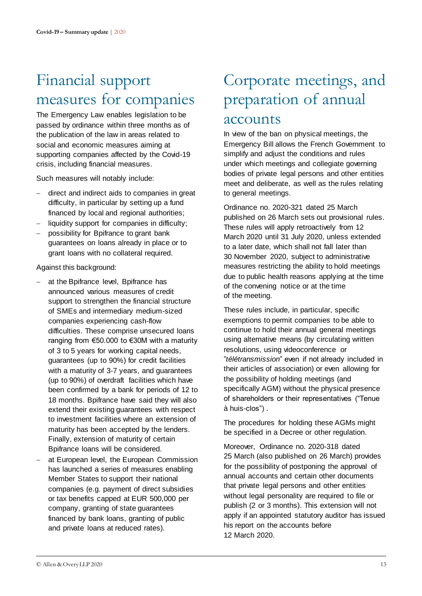### <span id="page-12-0"></span>Financial support measures for companies

The Emergency Law enables legislation to be passed by ordinance within three months as of the publication of the law in areas related to social and economic measures aiming at supporting companies affected by the Covid-19 crisis, including financial measures.

Such measures will notably include:

- direct and indirect aids to companies in great difficulty, in particular by setting up a fund financed by local and regional authorities;
- liquidity support for companies in difficulty;
- possibility for Bpifrance to grant bank guarantees on loans already in place or to grant loans with no collateral required.

Against this background:

- at the Bpifrance level, Bpifrance has announced various measures of credit support to strengthen the financial structure of SMEs and intermediary medium-sized companies experiencing cash-flow difficulties. These comprise unsecured loans ranging from €50.000 to €30M with a maturity of 3 to 5 years for working capital needs, guarantees (up to 90%) for credit facilities with a maturity of 3-7 years, and guarantees (up to 90%) of overdraft facilities which have been confirmed by a bank for periods of 12 to 18 months. Bpifrance have said they will also extend their existing guarantees with respect to investment facilities where an extension of maturity has been accepted by the lenders. Finally, extension of maturity of certain Bpifrance loans will be considered.
- at European level, the European Commission has launched a series of measures enabling Member States to support their national companies (e.g. payment of direct subsidies or tax benefits capped at EUR 500,000 per company, granting of state guarantees financed by bank loans, granting of public and private loans at reduced rates).

### <span id="page-12-1"></span>Corporate meetings, and preparation of annual accounts

In view of the ban on physical meetings, the Emergency Bill allows the French Government to simplify and adjust the conditions and rules under which meetings and collegiate governing bodies of private legal persons and other entities meet and deliberate, as well as the rules relating to general meetings.

Ordinance no. 2020-321 dated 25 March published on 26 March sets out provisional rules. These rules will apply retroactively from 12 March 2020 until 31 July 2020, unless extended to a later date, which shall not fall later than 30 November 2020, subject to administrative measures restricting the ability to hold meetings due to public health reasons applying at the time of the convening notice or at the time of the meeting.

These rules include, in particular, specific exemptions to permit companies to be able to continue to hold their annual general meetings using alternative means (by circulating written resolutions, using videoconference or "*télétransmission*" even if not already included in their articles of association) or even allowing for the possibility of holding meetings (and specifically AGM) without the physical presence of shareholders or their representatives ("Tenue à huis-clos") .

The procedures for holding these AGMs might be specified in a Decree or other regulation.

Moreover, Ordinance no. 2020-318 dated 25 March (also published on 26 March) provides for the possibility of postponing the approval of annual accounts and certain other documents that private legal persons and other entities without legal personality are required to file or publish (2 or 3 months). This extension will not apply if an appointed statutory auditor has issued his report on the accounts before 12 March 2020.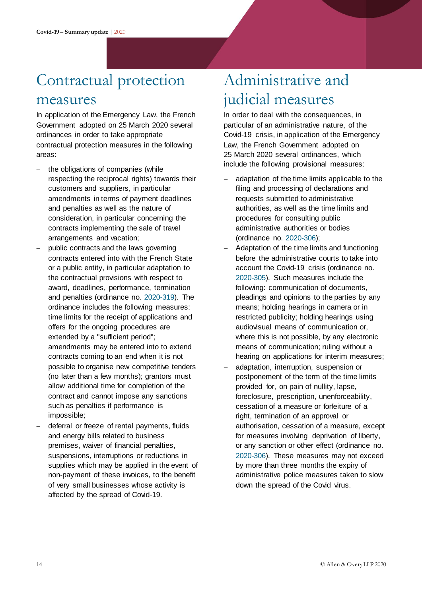### <span id="page-13-0"></span>Contractual protection

### measures

In application of the Emergency Law, the French Government adopted on 25 March 2020 several ordinances in order to take appropriate contractual protection measures in the following areas:

- the obligations of companies (while respecting the reciprocal rights) towards their customers and suppliers, in particular amendments in terms of payment deadlines and penalties as well as the nature of consideration, in particular concerning the contracts implementing the sale of travel arrangements and vacation;
- public contracts and the laws governing contracts entered into with the French State or a public entity, in particular adaptation to the contractual provisions with respect to award, deadlines, performance, termination and penalties (ordinance no. [2020-319\).](https://www.legifrance.gouv.fr/affichTexte.do?cidTexte=JORFTEXT000041755875&fastPos=3&fastReqId=542255628&categorieLien=id&oldAction=rechTexte) The ordinance includes the following measures: time limits for the receipt of applications and offers for the ongoing procedures are extended by a "sufficient period"; amendments may be entered into to extend contracts coming to an end when it is not possible to organise new competitive tenders (no later than a few months); grantors must allow additional time for completion of the contract and cannot impose any sanctions such as penalties if performance is impossible;
- deferral or freeze of rental payments, fluids and energy bills related to business premises, waiver of financial penalties, suspensions, interruptions or reductions in supplies which may be applied in the event of non-payment of these invoices, to the benefit of very small businesses whose activity is affected by the spread of Covid-19.

## <span id="page-13-1"></span>Administrative and judicial measures

In order to deal with the consequences, in particular of an administrative nature, of the Covid-19 crisis, in application of the Emergency Law, the French Government adopted on 25 March 2020 several ordinances, which include the following provisional measures:

- adaptation of the time limits applicable to the filing and processing of declarations and requests submitted to administrative authorities, as well as the time limits and procedures for consulting public administrative authorities or bodies (ordinance no. [2020-306\);](https://www.legifrance.gouv.fr/affichTexte.do;jsessionid=9D0FC8C37E3D105C3293168D41F965ED.tplgfr33s_3?cidTexte=JORFTEXT000041755644&dateTexte=&oldAction=rechJO&categorieLien=id&idJO=JORFCONT000041755510)
- Adaptation of the time limits and functioning before the administrative courts to take into account the Covid-19 crisis (ordinance no. [2020-305\).](https://www.legifrance.gouv.fr/affichTexte.do?cidTexte=JORFTEXT000041755612&fastPos=23&fastReqId=2067993686&categorieLien=id&oldAction=rechTexte) Such measures include the following: communication of documents, pleadings and opinions to the parties by any means; holding hearings in camera or in restricted publicity; holding hearings using audiovisual means of communication or, where this is not possible, by any electronic means of communication; ruling without a hearing on applications for interim measures;
- adaptation, interruption, suspension or postponement of the term of the time limits provided for, on pain of nullity, lapse, foreclosure, prescription, unenforceability, cessation of a measure or forfeiture of a right, termination of an approval or authorisation, cessation of a measure, except for measures involving deprivation of liberty, or any sanction or other effect (ordinance no. [2020-306\).](https://www.legifrance.gouv.fr/affichTexte.do;jsessionid=9D0FC8C37E3D105C3293168D41F965ED.tplgfr33s_3?cidTexte=JORFTEXT000041755644&dateTexte=&oldAction=rechJO&categorieLien=id&idJO=JORFCONT000041755510) These measures may not exceed by more than three months the expiry of administrative police measures taken to slow down the spread of the Covid virus.